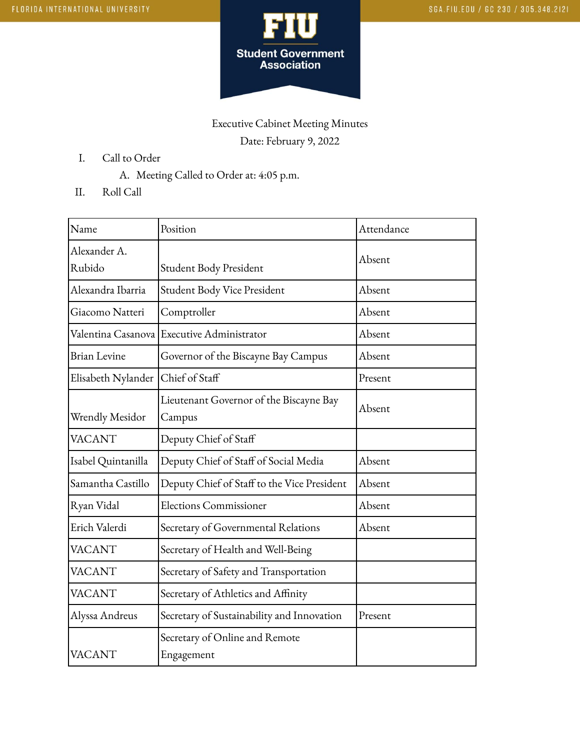

## Executive Cabinet Meeting Minutes Date: February 9, 2022

- I. Call to Order
	- A. Meeting Called to Order at: 4:05 p.m.
- II. Roll Call

| Name                   | Position                                          | Attendance |
|------------------------|---------------------------------------------------|------------|
| Alexander A.<br>Rubido | Student Body President                            | Absent     |
| Alexandra Ibarria      | Student Body Vice President                       | Absent     |
| Giacomo Natteri        | Comptroller                                       | Absent     |
| Valentina Casanova     | <b>Executive Administrator</b>                    | Absent     |
| <b>Brian Levine</b>    | Governor of the Biscayne Bay Campus               | Absent     |
| Elisabeth Nylander     | Chief of Staff                                    | Present    |
| Wrendly Mesidor        | Lieutenant Governor of the Biscayne Bay<br>Campus | Absent     |
| <b>VACANT</b>          | Deputy Chief of Staff                             |            |
| Isabel Quintanilla     | Deputy Chief of Staff of Social Media             | Absent     |
| Samantha Castillo      | Deputy Chief of Staff to the Vice President       | Absent     |
| Ryan Vidal             | <b>Elections Commissioner</b>                     | Absent     |
| Erich Valerdi          | Secretary of Governmental Relations               | Absent     |
| <b>VACANT</b>          | Secretary of Health and Well-Being                |            |
| <b>VACANT</b>          | Secretary of Safety and Transportation            |            |
| <b>VACANT</b>          | Secretary of Athletics and Affinity               |            |
| Alyssa Andreus         | Secretary of Sustainability and Innovation        | Present    |
| VACANT                 | Secretary of Online and Remote<br>Engagement      |            |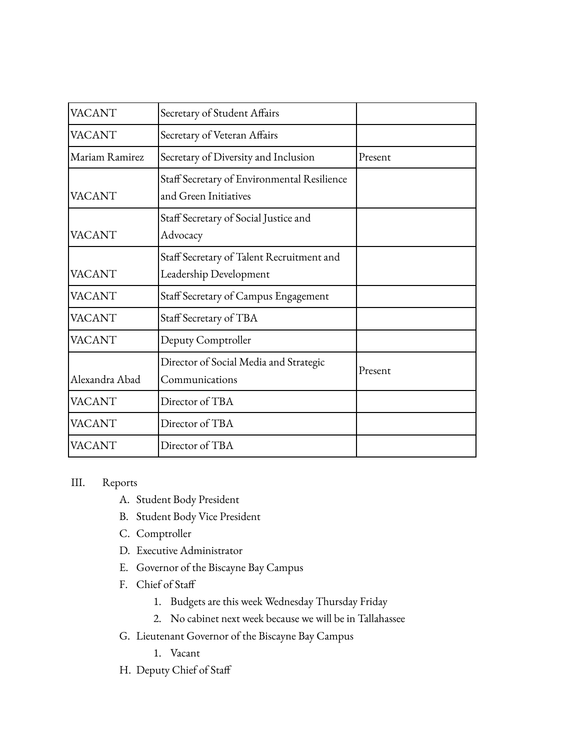| <b>VACANT</b>  | Secretary of Student Affairs                                         |         |
|----------------|----------------------------------------------------------------------|---------|
| VACANT         | Secretary of Veteran Affairs                                         |         |
| Mariam Ramirez | Secretary of Diversity and Inclusion                                 | Present |
| <b>VACANT</b>  | Staff Secretary of Environmental Resilience<br>and Green Initiatives |         |
| VACANT         | Staff Secretary of Social Justice and<br>Advocacy                    |         |
| <b>VACANT</b>  | Staff Secretary of Talent Recruitment and<br>Leadership Development  |         |
| VACANT         | Staff Secretary of Campus Engagement                                 |         |
| <b>VACANT</b>  | Staff Secretary of TBA                                               |         |
| <b>VACANT</b>  | Deputy Comptroller                                                   |         |
| Alexandra Abad | Director of Social Media and Strategic<br>Communications             | Present |
| VACANT         | Director of TBA                                                      |         |
| <b>VACANT</b>  | Director of TBA                                                      |         |
| VACANT         | Director of TBA                                                      |         |

## III. Reports

- A. Student Body President
- B. Student Body Vice President
- C. Comptroller
- D. Executive Administrator
- E. Governor of the Biscayne Bay Campus
- F. Chief of Staff
	- 1. Budgets are this week Wednesday Thursday Friday
	- 2. No cabinet next week because we will be in Tallahassee
- G. Lieutenant Governor of the Biscayne Bay Campus
	- 1. Vacant
- H. Deputy Chief of Staff